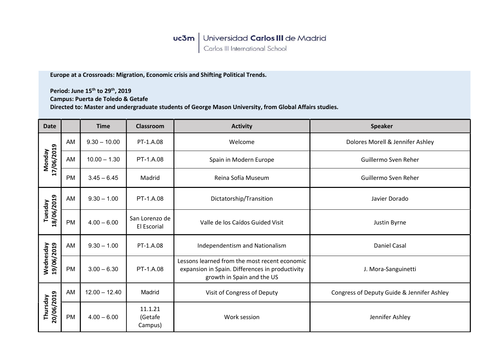## **uc3m** Universidad Carlos III de Madrid<br>Carlos III International School

Europe at a Crossroads: Migration, Economic crisis and Shifting Political Trends.

Period: June 15<sup>th</sup> to 29<sup>th</sup>, 2019 Campus: Puerta de Toledo & Getafe Directed to: Master and undergraduate students of George Mason University, from Global Affairs studies.

| <b>Date</b>                 |           | <b>Time</b>     | <b>Classroom</b>              | <b>Activity</b>                                                                                                                | <b>Speaker</b>                             |
|-----------------------------|-----------|-----------------|-------------------------------|--------------------------------------------------------------------------------------------------------------------------------|--------------------------------------------|
| 17/06/2019<br><b>Monday</b> | AM        | $9.30 - 10.00$  | PT-1.A.08                     | Welcome                                                                                                                        | Dolores Morell & Jennifer Ashley           |
|                             | AM        | $10.00 - 1.30$  | PT-1.A.08                     | Spain in Modern Europe                                                                                                         | Guillermo Sven Reher                       |
|                             | PM        | $3.45 - 6.45$   | Madrid                        | Reina Sofía Museum                                                                                                             | Guillermo Sven Reher                       |
| 18/06/2019<br>Tuesday       | AM        | $9.30 - 1.00$   | PT-1.A.08                     | Dictatorship/Transition                                                                                                        | Javier Dorado                              |
|                             | <b>PM</b> | $4.00 - 6.00$   | San Lorenzo de<br>El Escorial | Valle de los Caídos Guided Visit                                                                                               | Justin Byrne                               |
| Wednesday<br>19/06/2019     | AM        | $9.30 - 1.00$   | PT-1.A.08                     | Independentism and Nationalism                                                                                                 | Daniel Casal                               |
|                             | <b>PM</b> | $3.00 - 6.30$   | PT-1.A.08                     | Lessons learned from the most recent economic<br>expansion in Spain. Differences in productivity<br>growth in Spain and the US | J. Mora-Sanguinetti                        |
| Thursday<br>20/06/2019      | AM        | $12.00 - 12.40$ | Madrid                        | Visit of Congress of Deputy                                                                                                    | Congress of Deputy Guide & Jennifer Ashley |
|                             | PM        | $4.00 - 6.00$   | 11.1.21<br>(Getafe<br>Campus) | Work session                                                                                                                   | Jennifer Ashley                            |